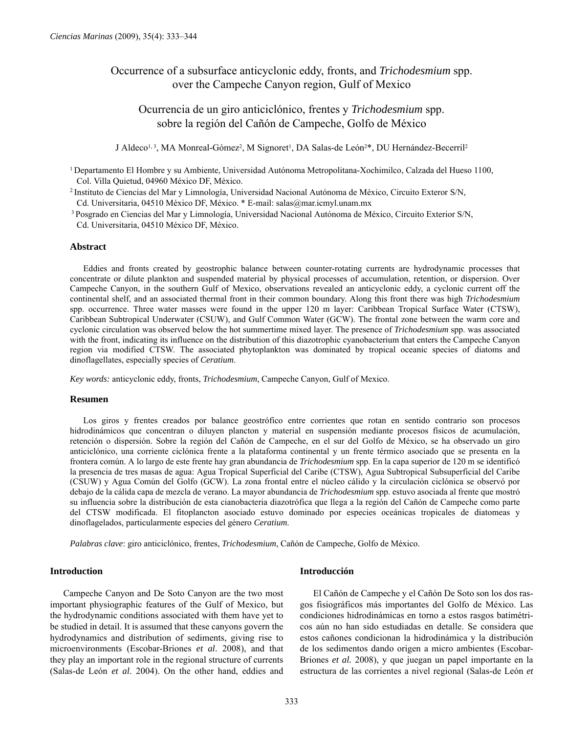# Occurrence of a subsurface anticyclonic eddy, fronts, and *Trichodesmium* spp. over the Campeche Canyon region, Gulf of Mexico

# Ocurrencia de un giro anticiclónico, frentes y *Trichodesmium* spp. sobre la región del Cañón de Campeche, Golfo de México

J Aldeco<sup>1, 3</sup>, MA Monreal-Gómez<sup>2</sup>, M Signoret<sup>1</sup>, DA Salas-de León<sup>2\*</sup>, DU Hernández-Becerril<sup>2</sup>

1 Departamento El Hombre y su Ambiente, Universidad Autónoma Metropolitana-Xochimilco, Calzada del Hueso 1100, Col. Villa Quietud, 04960 México DF, México.

2 Instituto de Ciencias del Mar y Limnología, Universidad Nacional Autónoma de México, Circuito Exteror S/N, Cd. Universitaria, 04510 México DF, México. \* E-mail: salas@mar.icmyl.unam.mx

 3 Posgrado en Ciencias del Mar y Limnología, Universidad Nacional Autónoma de México, Circuito Exterior S/N, Cd. Universitaria, 04510 México DF, México.

### **Abstract**

Eddies and fronts created by geostrophic balance between counter-rotating currents are hydrodynamic processes that concentrate or dilute plankton and suspended material by physical processes of accumulation, retention, or dispersion. Over Campeche Canyon, in the southern Gulf of Mexico, observations revealed an anticyclonic eddy, a cyclonic current off the continental shelf, and an associated thermal front in their common boundary. Along this front there was high *Trichodesmium* spp. occurrence. Three water masses were found in the upper 120 m layer: Caribbean Tropical Surface Water (CTSW), Caribbean Subtropical Underwater (CSUW), and Gulf Common Water (GCW). The frontal zone between the warm core and cyclonic circulation was observed below the hot summertime mixed layer. The presence of *Trichodesmium* spp. was associated with the front, indicating its influence on the distribution of this diazotrophic cyanobacterium that enters the Campeche Canyon region via modified CTSW. The associated phytoplankton was dominated by tropical oceanic species of diatoms and dinoflagellates, especially species of *Ceratium*.

*Key words:* anticyclonic eddy, fronts, *Trichodesmium*, Campeche Canyon, Gulf of Mexico.

#### **Resumen**

Los giros y frentes creados por balance geostrófico entre corrientes que rotan en sentido contrario son procesos hidrodinámicos que concentran o diluyen plancton y material en suspensión mediante procesos físicos de acumulación, retención o dispersión. Sobre la región del Cañón de Campeche, en el sur del Golfo de México, se ha observado un giro anticiclónico, una corriente ciclónica frente a la plataforma continental y un frente térmico asociado que se presenta en la frontera común. A lo largo de este frente hay gran abundancia de *Trichodesmium* spp. En la capa superior de 120 m se identificó la presencia de tres masas de agua: Agua Tropical Superficial del Caribe (CTSW), Agua Subtropical Subsuperficial del Caribe (CSUW) y Agua Común del Golfo (GCW). La zona frontal entre el núcleo cálido y la circulación ciclónica se observó por debajo de la cálida capa de mezcla de verano. La mayor abundancia de *Trichodesmium* spp. estuvo asociada al frente que mostró su influencia sobre la distribución de esta cianobacteria diazotrófica que llega a la región del Cañón de Campeche como parte del CTSW modificada. El fitoplancton asociado estuvo dominado por especies oceánicas tropicales de diatomeas y dinoflagelados, particularmente especies del género *Ceratium*.

*Palabras clave*: giro anticiclónico, frentes, *Trichodesmium*, Cañón de Campeche, Golfo de México.

## **Introduction**

Campeche Canyon and De Soto Canyon are the two most important physiographic features of the Gulf of Mexico, but the hydrodynamic conditions associated with them have yet to be studied in detail. It is assumed that these canyons govern the hydrodynamics and distribution of sediments, giving rise to microenvironments (Escobar-Briones *et al*. 2008), and that they play an important role in the regional structure of currents (Salas-de León *et al*. 2004). On the other hand, eddies and

# **Introducción**

El Cañón de Campeche y el Cañón De Soto son los dos rasgos fisiográficos más importantes del Golfo de México. Las condiciones hidrodinámicas en torno a estos rasgos batimétricos aún no han sido estudiadas en detalle. Se considera que estos cañones condicionan la hidrodinámica y la distribución de los sedimentos dando origen a micro ambientes (Escobar-Briones *et al.* 2008), y que juegan un papel importante en la estructura de las corrientes a nivel regional (Salas-de León *et*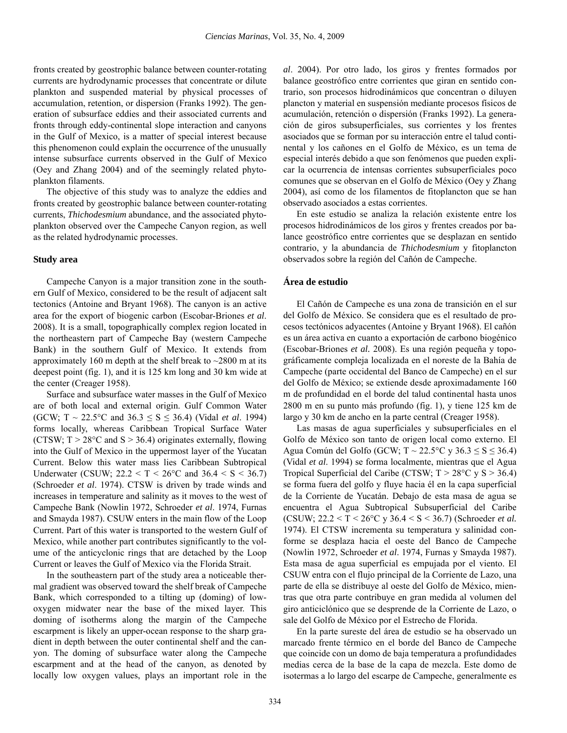fronts created by geostrophic balance between counter-rotating currents are hydrodynamic processes that concentrate or dilute plankton and suspended material by physical processes of accumulation, retention, or dispersion (Franks 1992). The generation of subsurface eddies and their associated currents and fronts through eddy-continental slope interaction and canyons in the Gulf of Mexico, is a matter of special interest because this phenomenon could explain the occurrence of the unusually intense subsurface currents observed in the Gulf of Mexico (Oey and Zhang 2004) and of the seemingly related phytoplankton filaments.

The objective of this study was to analyze the eddies and fronts created by geostrophic balance between counter-rotating currents, *Thichodesmium* abundance, and the associated phytoplankton observed over the Campeche Canyon region, as well as the related hydrodynamic processes.

# **Study area**

Campeche Canyon is a major transition zone in the southern Gulf of Mexico, considered to be the result of adjacent salt tectonics (Antoine and Bryant 1968). The canyon is an active area for the export of biogenic carbon (Escobar-Briones *et al*. 2008). It is a small, topographically complex region located in the northeastern part of Campeche Bay (western Campeche Bank) in the southern Gulf of Mexico. It extends from approximately 160 m depth at the shelf break to  $\sim$ 2800 m at its deepest point (fig. 1), and it is 125 km long and 30 km wide at the center (Creager 1958).

Surface and subsurface water masses in the Gulf of Mexico are of both local and external origin. Gulf Common Water (GCW;  $T \sim 22.5^{\circ}\text{C}$  and  $36.3 \le S \le 36.4$ ) (Vidal *et al.* 1994) forms locally, whereas Caribbean Tropical Surface Water (CTSW;  $T > 28^{\circ}$ C and S  $> 36.4$ ) originates externally, flowing into the Gulf of Mexico in the uppermost layer of the Yucatan Current. Below this water mass lies Caribbean Subtropical Underwater (CSUW;  $22.2 < T < 26^{\circ}$ C and  $36.4 < S < 36.7$ ) (Schroeder *et al*. 1974). CTSW is driven by trade winds and increases in temperature and salinity as it moves to the west of Campeche Bank (Nowlin 1972, Schroeder *et al*. 1974, Furnas and Smayda 1987). CSUW enters in the main flow of the Loop Current. Part of this water is transported to the western Gulf of Mexico, while another part contributes significantly to the volume of the anticyclonic rings that are detached by the Loop Current or leaves the Gulf of Mexico via the Florida Strait.

In the southeastern part of the study area a noticeable thermal gradient was observed toward the shelf break of Campeche Bank, which corresponded to a tilting up (doming) of lowoxygen midwater near the base of the mixed layer. This doming of isotherms along the margin of the Campeche escarpment is likely an upper-ocean response to the sharp gradient in depth between the outer continental shelf and the canyon. The doming of subsurface water along the Campeche escarpment and at the head of the canyon, as denoted by locally low oxygen values, plays an important role in the *al*. 2004). Por otro lado, los giros y frentes formados por balance geostrófico entre corrientes que giran en sentido contrario, son procesos hidrodinámicos que concentran o diluyen plancton y material en suspensión mediante procesos físicos de acumulación, retención o dispersión (Franks 1992). La generación de giros subsuperficiales, sus corrientes y los frentes asociados que se forman por su interacción entre el talud continental y los cañones en el Golfo de México, es un tema de especial interés debido a que son fenómenos que pueden explicar la ocurrencia de intensas corrientes subsuperficiales poco comunes que se observan en el Golfo de México (Oey y Zhang 2004), así como de los filamentos de fitoplancton que se han observado asociados a estas corrientes.

En este estudio se analiza la relación existente entre los procesos hidrodinámicos de los giros y frentes creados por balance geostrófico entre corrientes que se desplazan en sentido contrario, y la abundancia de *Thichodesmium* y fitoplancton observados sobre la región del Cañón de Campeche.

# **Área de estudio**

El Cañón de Campeche es una zona de transición en el sur del Golfo de México. Se considera que es el resultado de procesos tectónicos adyacentes (Antoine y Bryant 1968). El cañón es un área activa en cuanto a exportación de carbono biogénico (Escobar-Briones *et al.* 2008). Es una región pequeña y topográficamente compleja localizada en el noreste de la Bahía de Campeche (parte occidental del Banco de Campeche) en el sur del Golfo de México; se extiende desde aproximadamente 160 m de profundidad en el borde del talud continental hasta unos 2800 m en su punto más profundo (fig. 1), y tiene 125 km de largo y 30 km de ancho en la parte central (Creager 1958).

Las masas de agua superficiales y subsuperficiales en el Golfo de México son tanto de origen local como externo. El Agua Común del Golfo (GCW; T ~ 22.5 °C y 36.3  $\leq$  S  $\leq$  36.4) (Vidal *et al*. 1994) se forma localmente, mientras que el Agua Tropical Superficial del Caribe (CTSW;  $T > 28^{\circ}$ C y S  $> 36.4$ ) se forma fuera del golfo y fluye hacia él en la capa superficial de la Corriente de Yucatán. Debajo de esta masa de agua se encuentra el Agua Subtropical Subsuperficial del Caribe (CSUW; 22.2 < T < 26°C y 36.4 < S < 36.7) (Schroeder *et al.* 1974). El CTSW incrementa su temperatura y salinidad conforme se desplaza hacia el oeste del Banco de Campeche (Nowlin 1972, Schroeder *et al*. 1974, Furnas y Smayda 1987). Esta masa de agua superficial es empujada por el viento. El CSUW entra con el flujo principal de la Corriente de Lazo, una parte de ella se distribuye al oeste del Golfo de México, mientras que otra parte contribuye en gran medida al volumen del giro anticiclónico que se desprende de la Corriente de Lazo, o sale del Golfo de México por el Estrecho de Florida.

En la parte sureste del área de estudio se ha observado un marcado frente térmico en el borde del Banco de Campeche que coincide con un domo de baja temperatura a profundidades medias cerca de la base de la capa de mezcla. Este domo de isotermas a lo largo del escarpe de Campeche, generalmente es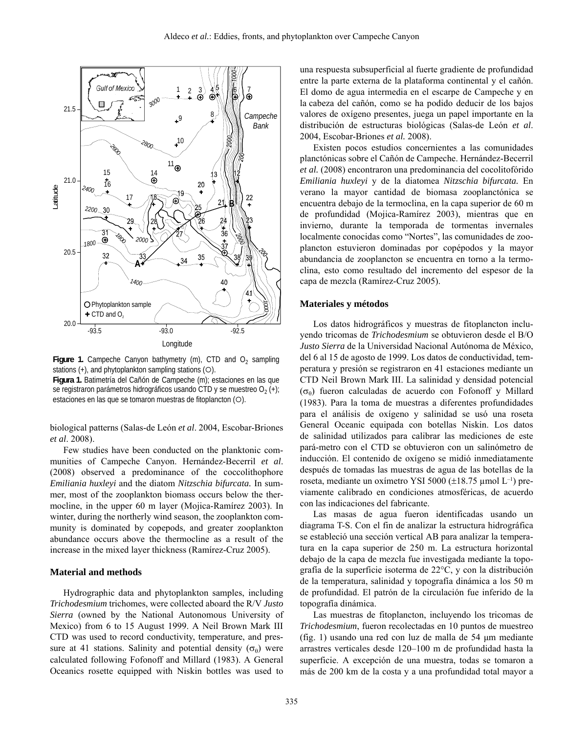

**Figure 1.** Campeche Canyon bathymetry (m), CTD and  $O<sub>2</sub>$  sampling stations  $(+)$ , and phytoplankton sampling stations  $(O)$ .

**Figura 1.** Batimetría del Cañón de Campeche (m); estaciones en las que se registraron parámetros hidrográficos usando CTD y se muestreo  $O_2$  (+); estaciones en las que se tomaron muestras de fitoplancton (O).

biological patterns (Salas-de León *et al*. 2004, Escobar-Briones *et al*. 2008).

Few studies have been conducted on the planktonic communities of Campeche Canyon. Hernández-Becerril *et al*. (2008) observed a predominance of the coccolithophore *Emiliania huxleyi* and the diatom *Nitzschia bifurcata.* In summer, most of the zooplankton biomass occurs below the thermocline, in the upper 60 m layer (Mojica-Ramírez 2003). In winter, during the northerly wind season, the zooplankton community is dominated by copepods, and greater zooplankton abundance occurs above the thermocline as a result of the increase in the mixed layer thickness (Ramírez-Cruz 2005).

# **Material and methods**

Hydrographic data and phytoplankton samples, including *Trichodesmium* trichomes, were collected aboard the R/V *Justo Sierra* (owned by the National Autonomous University of Mexico) from 6 to 15 August 1999. A Neil Brown Mark III CTD was used to record conductivity, temperature, and pressure at 41 stations. Salinity and potential density ( $\sigma_{\theta}$ ) were calculated following Fofonoff and Millard (1983). A General Oceanics rosette equipped with Niskin bottles was used to

una respuesta subsuperficial al fuerte gradiente de profundidad entre la parte externa de la plataforma continental y el cañón. El domo de agua intermedia en el escarpe de Campeche y en la cabeza del cañón, como se ha podido deducir de los bajos valores de oxígeno presentes, juega un papel importante en la distribución de estructuras biológicas (Salas-de León *et al*. 2004, Escobar-Briones *et al.* 2008).

Existen pocos estudios concernientes a las comunidades planctónicas sobre el Cañón de Campeche. Hernández-Becerril *et al.* (2008) encontraron una predominancia del cocolitofórido *Emiliania huxleyi* y de la diatomea *Nitzschia bifurcata.* En verano la mayor cantidad de biomasa zooplanctónica se encuentra debajo de la termoclina, en la capa superior de 60 m de profundidad (Mojica-Ramírez 2003), mientras que en invierno, durante la temporada de tormentas invernales localmente conocidas como "Nortes", las comunidades de zooplancton estuvieron dominadas por copépodos y la mayor abundancia de zooplancton se encuentra en torno a la termoclina, esto como resultado del incremento del espesor de la capa de mezcla (Ramírez-Cruz 2005).

#### **Materiales y métodos**

Los datos hidrográficos y muestras de fitoplancton incluyendo tricomas de *Trichodesmium* se obtuvieron desde el B/O *Justo Sierra* de la Universidad Nacional Autónoma de México, del 6 al 15 de agosto de 1999. Los datos de conductividad, temperatura y presión se registraron en 41 estaciones mediante un CTD Neil Brown Mark III. La salinidad y densidad potencial ( $\sigma$ θ) fueron calculadas de acuerdo con Fofonoff y Millard (1983). Para la toma de muestras a diferentes profundidades para el análisis de oxígeno y salinidad se usó una roseta General Oceanic equipada con botellas Niskin. Los datos de salinidad utilizados para calibrar las mediciones de este pará-metro con el CTD se obtuvieron con un salinómetro de inducción. El contenido de oxígeno se midió inmediatamente después de tomadas las muestras de agua de las botellas de la roseta, mediante un oxímetro YSI 5000 (±18.75 µmol L–1) previamente calibrado en condiciones atmosféricas, de acuerdo con las indicaciones del fabricante.

Las masas de agua fueron identificadas usando un diagrama T-S. Con el fin de analizar la estructura hidrográfica se estableció una sección vertical AB para analizar la temperatura en la capa superior de 250 m. La estructura horizontal debajo de la capa de mezcla fue investigada mediante la topografía de la superficie isoterma de 22°C, y con la distribución de la temperatura, salinidad y topografía dinámica a los 50 m de profundidad. El patrón de la circulación fue inferido de la topografía dinámica.

Las muestras de fitoplancton, incluyendo los tricomas de *Trichodesmium*, fueron recolectadas en 10 puntos de muestreo (fig. 1) usando una red con luz de malla de 54 μm mediante arrastres verticales desde 120–100 m de profundidad hasta la superficie. A excepción de una muestra, todas se tomaron a más de 200 km de la costa y a una profundidad total mayor a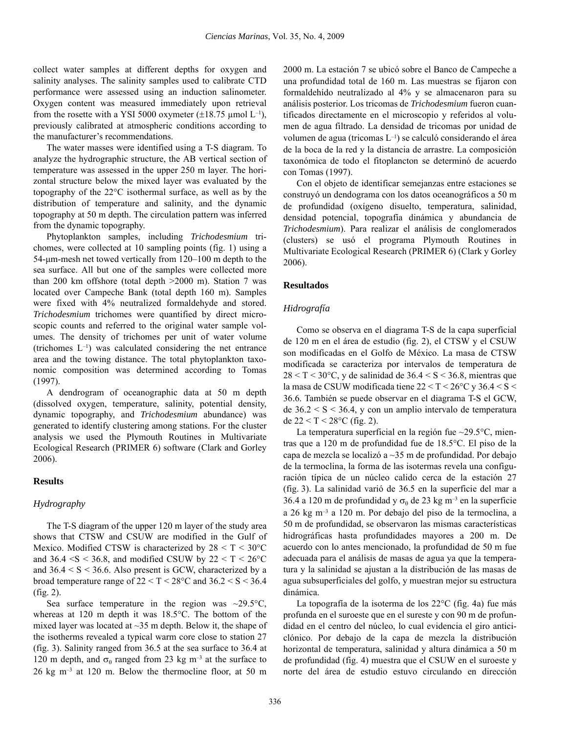collect water samples at different depths for oxygen and salinity analyses. The salinity samples used to calibrate CTD performance were assessed using an induction salinometer. Oxygen content was measured immediately upon retrieval from the rosette with a YSI 5000 oxymeter ( $\pm$ 18.75 µmol L<sup>-1</sup>), previously calibrated at atmospheric conditions according to the manufacturer's recommendations.

The water masses were identified using a T-S diagram. To analyze the hydrographic structure, the AB vertical section of temperature was assessed in the upper 250 m layer. The horizontal structure below the mixed layer was evaluated by the topography of the 22°C isothermal surface, as well as by the distribution of temperature and salinity, and the dynamic topography at 50 m depth. The circulation pattern was inferred from the dynamic topography.

Phytoplankton samples, including *Trichodesmium* trichomes, were collected at 10 sampling points (fig. 1) using a 54-μm-mesh net towed vertically from 120–100 m depth to the sea surface. All but one of the samples were collected more than 200 km offshore (total depth >2000 m). Station 7 was located over Campeche Bank (total depth 160 m). Samples were fixed with 4% neutralized formaldehyde and stored. *Trichodesmium* trichomes were quantified by direct microscopic counts and referred to the original water sample volumes. The density of trichomes per unit of water volume (trichomes  $L^{-1}$ ) was calculated considering the net entrance area and the towing distance. The total phytoplankton taxonomic composition was determined according to Tomas (1997).

A dendrogram of oceanographic data at 50 m depth (dissolved oxygen, temperature, salinity, potential density, dynamic topography, and *Trichodesmium* abundance) was generated to identify clustering among stations. For the cluster analysis we used the Plymouth Routines in Multivariate Ecological Research (PRIMER 6) software (Clark and Gorley 2006).

# **Results**

# *Hydrography*

The T-S diagram of the upper 120 m layer of the study area shows that CTSW and CSUW are modified in the Gulf of Mexico. Modified CTSW is characterized by  $28 < T < 30^{\circ}$ C and  $36.4 \leq S \leq 36.8$ , and modified CSUW by  $22 \leq T \leq 26^{\circ}C$ and  $36.4 \le S \le 36.6$ . Also present is GCW, characterized by a broad temperature range of  $22 < T < 28^{\circ}$ C and  $36.2 < S < 36.4$ (fig. 2).

Sea surface temperature in the region was  $\sim$ 29.5 $\degree$ C, whereas at 120 m depth it was 18.5°C. The bottom of the mixed layer was located at ~35 m depth. Below it, the shape of the isotherms revealed a typical warm core close to station 27 (fig. 3). Salinity ranged from 36.5 at the sea surface to 36.4 at 120 m depth, and  $\sigma_{\theta}$  ranged from 23 kg m<sup>-3</sup> at the surface to 26 kg m–3 at 120 m. Below the thermocline floor, at 50 m

2000 m. La estación 7 se ubicó sobre el Banco de Campeche a una profundidad total de 160 m. Las muestras se fijaron con formaldehído neutralizado al 4% y se almacenaron para su análisis posterior. Los tricomas de *Trichodesmium* fueron cuantificados directamente en el microscopio y referidos al volumen de agua filtrado. La densidad de tricomas por unidad de volumen de agua (tricomas L–1) se calculó considerando el área de la boca de la red y la distancia de arrastre. La composición taxonómica de todo el fitoplancton se determinó de acuerdo con Tomas (1997).

Con el objeto de identificar semejanzas entre estaciones se construyó un dendograma con los datos oceanográficos a 50 m de profundidad (oxígeno disuelto, temperatura, salinidad, densidad potencial, topografía dinámica y abundancia de *Trichodesmium*). Para realizar el análisis de conglomerados (clusters) se usó el programa Plymouth Routines in Multivariate Ecological Research (PRIMER 6) (Clark y Gorley 2006).

# **Resultados**

### *Hidrografía*

Como se observa en el diagrama T-S de la capa superficial de 120 m en el área de estudio (fig. 2), el CTSW y el CSUW son modificadas en el Golfo de México. La masa de CTSW modificada se caracteriza por intervalos de temperatura de  $28 < T < 30^{\circ}$ C, y de salinidad de  $36.4 < S < 36.8$ , mientras que la masa de CSUW modificada tiene 22 < T < 26°C y 36.4 < S < 36.6. También se puede observar en el diagrama T-S el GCW, de  $36.2 < S < 36.4$ , y con un amplio intervalo de temperatura de  $22 < T < 28$ °C (fig. 2).

La temperatura superficial en la región fue ~29.5°C, mientras que a 120 m de profundidad fue de 18.5°C. El piso de la capa de mezcla se localizó a ~35 m de profundidad. Por debajo de la termoclina, la forma de las isotermas revela una configuración típica de un núcleo calido cerca de la estación 27 (fig. 3). La salinidad varió de 36.5 en la superficie del mar a 36.4 a 120 m de profundidad y  $\sigma_{\theta}$  de 23 kg m<sup>-3</sup> en la superficie a 26 kg m–3 a 120 m. Por debajo del piso de la termoclina, a 50 m de profundidad, se observaron las mismas características hidrográficas hasta profundidades mayores a 200 m. De acuerdo con lo antes mencionado, la profundidad de 50 m fue adecuada para el análisis de masas de agua ya que la temperatura y la salinidad se ajustan a la distribución de las masas de agua subsuperficiales del golfo, y muestran mejor su estructura dinámica.

La topografía de la isoterma de los 22°C (fig. 4a) fue más profunda en el suroeste que en el sureste y con 90 m de profundidad en el centro del núcleo, lo cual evidencia el giro anticiclónico. Por debajo de la capa de mezcla la distribución horizontal de temperatura, salinidad y altura dinámica a 50 m de profundidad (fig. 4) muestra que el CSUW en el suroeste y norte del área de estudio estuvo circulando en dirección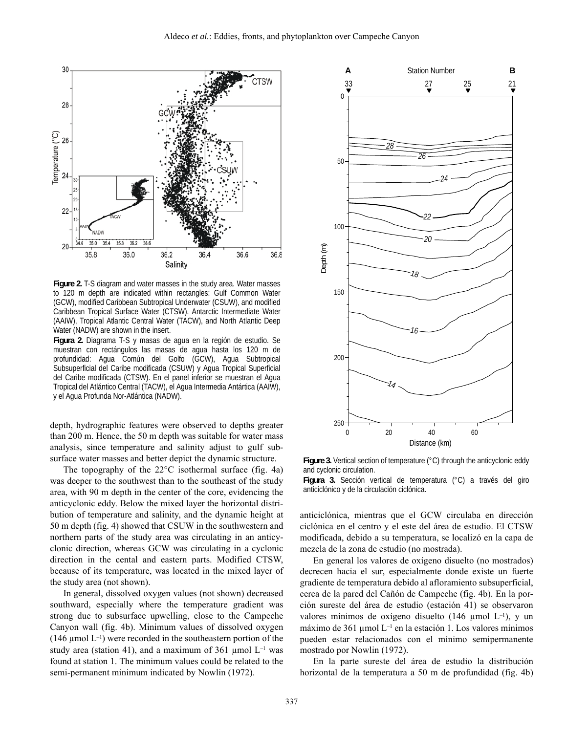

**Figure 2.** T-S diagram and water masses in the study area. Water masses to 120 m depth are indicated within rectangles: Gulf Common Water (GCW), modified Caribbean Subtropical Underwater (CSUW), and modified Caribbean Tropical Surface Water (CTSW). Antarctic Intermediate Water (AAIW), Tropical Atlantic Central Water (TACW), and North Atlantic Deep Water (NADW) are shown in the insert.

**Figura 2.** Diagrama T-S y masas de agua en la región de estudio. Se muestran con rectángulos las masas de agua hasta los 120 m de profundidad: Agua Común del Golfo (GCW), Agua Subtropical Subsuperficial del Caribe modificada (CSUW) y Agua Tropical Superficial del Caribe modificada (CTSW). En el panel inferior se muestran el Agua Tropical del Atlántico Central (TACW), el Agua Intermedia Antártica (AAIW), y el Agua Profunda Nor-Atlántica (NADW).

depth, hydrographic features were observed to depths greater than 200 m. Hence, the 50 m depth was suitable for water mass analysis, since temperature and salinity adjust to gulf subsurface water masses and better depict the dynamic structure.

The topography of the 22°C isothermal surface (fig. 4a) was deeper to the southwest than to the southeast of the study area, with 90 m depth in the center of the core, evidencing the anticyclonic eddy. Below the mixed layer the horizontal distribution of temperature and salinity, and the dynamic height at 50 m depth (fig. 4) showed that CSUW in the southwestern and northern parts of the study area was circulating in an anticyclonic direction, whereas GCW was circulating in a cyclonic direction in the cental and eastern parts. Modified CTSW, because of its temperature, was located in the mixed layer of the study area (not shown).

In general, dissolved oxygen values (not shown) decreased southward, especially where the temperature gradient was strong due to subsurface upwelling, close to the Campeche Canyon wall (fig. 4b). Minimum values of dissolved oxygen (146  $\mu$ mol L<sup>-1</sup>) were recorded in the southeastern portion of the study area (station 41), and a maximum of 361 µmol  $L^{-1}$  was found at station 1. The minimum values could be related to the semi-permanent minimum indicated by Nowlin (1972).



**Figure 3.** Vertical section of temperature (°C) through the anticyclonic eddy and cyclonic circulation.

**Figura 3.** Sección vertical de temperatura (°C) a través del giro anticiclónico y de la circulación ciclónica.

anticiclónica, mientras que el GCW circulaba en dirección ciclónica en el centro y el este del área de estudio. El CTSW modificada, debido a su temperatura, se localizó en la capa de mezcla de la zona de estudio (no mostrada).

En general los valores de oxígeno disuelto (no mostrados) decrecen hacia el sur, especialmente donde existe un fuerte gradiente de temperatura debido al afloramiento subsuperficial, cerca de la pared del Cañón de Campeche (fig. 4b). En la porción sureste del área de estudio (estación 41) se observaron valores mínimos de oxígeno disuelto (146 µmol  $L^{-1}$ ), y un máximo de 361 umol  $L^{-1}$  en la estación 1. Los valores mínimos pueden estar relacionados con el mínimo semipermanente mostrado por Nowlin (1972).

En la parte sureste del área de estudio la distribución horizontal de la temperatura a 50 m de profundidad (fig. 4b)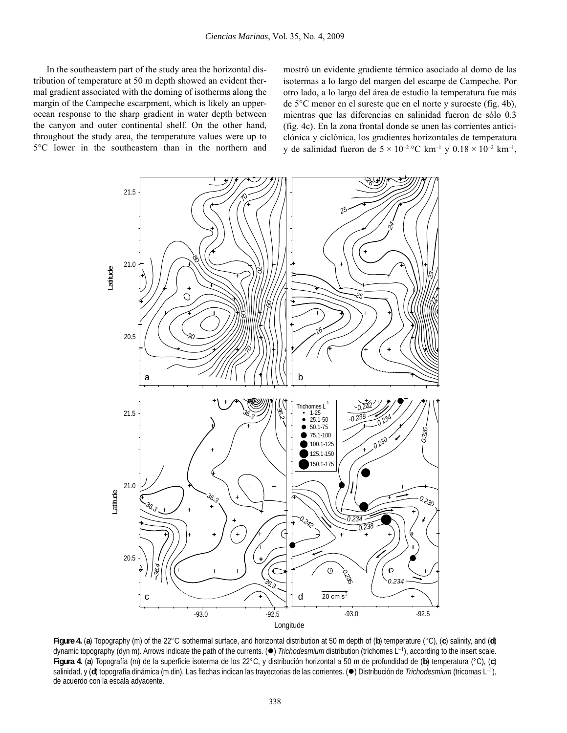In the southeastern part of the study area the horizontal distribution of temperature at 50 m depth showed an evident thermal gradient associated with the doming of isotherms along the margin of the Campeche escarpment, which is likely an upperocean response to the sharp gradient in water depth between the canyon and outer continental shelf. On the other hand, throughout the study area, the temperature values were up to 5°C lower in the southeastern than in the northern and

mostró un evidente gradiente térmico asociado al domo de las isotermas a lo largo del margen del escarpe de Campeche. Por otro lado, a lo largo del área de estudio la temperatura fue más de 5°C menor en el sureste que en el norte y suroeste (fig. 4b), mientras que las diferencias en salinidad fueron de sólo 0.3 (fig. 4c). En la zona frontal donde se unen las corrientes anticiclónica y ciclónica, los gradientes horizontales de temperatura y de salinidad fueron de  $5 \times 10^{-2}$  °C km<sup>-1</sup> y  $0.18 \times 10^{-2}$  km<sup>-1</sup>,



**Figure 4.** (**a**) Topography (m) of the 22°C isothermal surface, and horizontal distribution at 50 m depth of (**b**) temperature (°C), (**c**) salinity, and (**d**) dynamic topography (dyn m). Arrows indicate the path of the currents. ( $\bullet$ ) *Trichodesmium* distribution (trichomes L<sup>-1</sup>), according to the insert scale. **Figura 4.** (**a**) Topografía (m) de la superficie isoterma de los 22°C, y distribución horizontal a 50 m de profundidad de (**b**) temperatura (°C), (**c**) salinidad, y (d) topografía dinámica (m din). Las flechas indican las trayectorias de las corrientes. (·) Distribución de *Trichodesmium* (tricomas L<sup>-1</sup>), de acuerdo con la escala adyacente.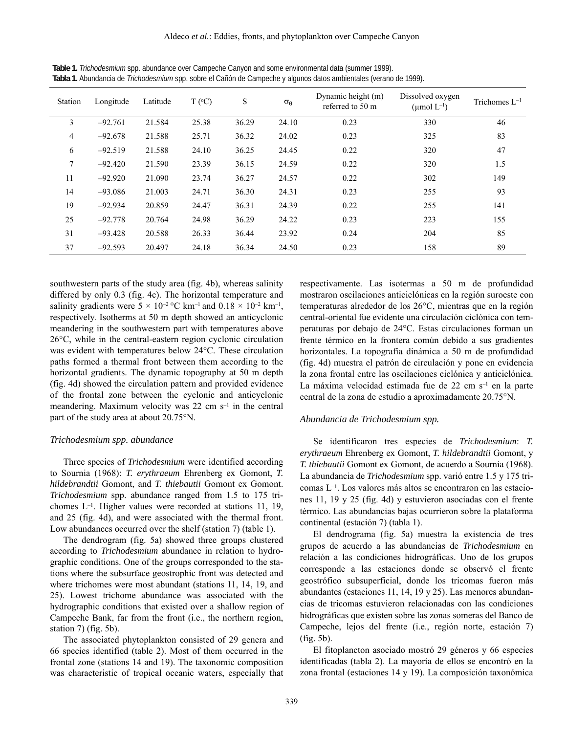| Station        | Longitude | Latitude | $T (^{\circ}C)$ | S     | $\sigma_{\theta}$ | Dynamic height (m)<br>referred to 50 m | Dissolved oxygen<br>(umol $L^{-1}$ ) | Trichomes $L^{-1}$ |
|----------------|-----------|----------|-----------------|-------|-------------------|----------------------------------------|--------------------------------------|--------------------|
| 3              | $-92.761$ | 21.584   | 25.38           | 36.29 | 24.10             | 0.23                                   | 330                                  | 46                 |
| $\overline{4}$ | $-92.678$ | 21.588   | 25.71           | 36.32 | 24.02             | 0.23                                   | 325                                  | 83                 |
| 6              | $-92.519$ | 21.588   | 24.10           | 36.25 | 24.45             | 0.22                                   | 320                                  | 47                 |
| 7              | $-92.420$ | 21.590   | 23.39           | 36.15 | 24.59             | 0.22                                   | 320                                  | 1.5                |
| 11             | $-92.920$ | 21.090   | 23.74           | 36.27 | 24.57             | 0.22                                   | 302                                  | 149                |
| 14             | $-93.086$ | 21.003   | 24.71           | 36.30 | 24.31             | 0.23                                   | 255                                  | 93                 |
| 19             | $-92.934$ | 20.859   | 24.47           | 36.31 | 24.39             | 0.22                                   | 255                                  | 141                |
| 25             | $-92.778$ | 20.764   | 24.98           | 36.29 | 24.22             | 0.23                                   | 223                                  | 155                |
| 31             | $-93.428$ | 20.588   | 26.33           | 36.44 | 23.92             | 0.24                                   | 204                                  | 85                 |
| 37             | $-92.593$ | 20.497   | 24.18           | 36.34 | 24.50             | 0.23                                   | 158                                  | 89                 |

**Table 1.** *Trichodesmium* spp. abundance over Campeche Canyon and some environmental data (summer 1999). **Tabla 1.** Abundancia de *Trichodesmium* spp. sobre el Cañón de Campeche y algunos datos ambientales (verano de 1999).

southwestern parts of the study area (fig. 4b), whereas salinity differed by only 0.3 (fig. 4c). The horizontal temperature and salinity gradients were  $5 \times 10^{-2}$  °C km<sup>-1</sup> and  $0.18 \times 10^{-2}$  km<sup>-1</sup>, respectively. Isotherms at 50 m depth showed an anticyclonic meandering in the southwestern part with temperatures above 26°C, while in the central-eastern region cyclonic circulation was evident with temperatures below 24°C. These circulation paths formed a thermal front between them according to the horizontal gradients. The dynamic topography at 50 m depth (fig. 4d) showed the circulation pattern and provided evidence of the frontal zone between the cyclonic and anticyclonic meandering. Maximum velocity was  $22 \text{ cm s}^{-1}$  in the central part of the study area at about 20.75°N.

#### *Trichodesmium spp. abundance*

Three species of *Trichodesmium* were identified according to Sournia (1968): *T. erythraeum* Ehrenberg ex Gomont, *T. hildebrandtii* Gomont, and *T. thiebautii* Gomont ex Gomont. *Trichodesmium* spp. abundance ranged from 1.5 to 175 trichomes L–1. Higher values were recorded at stations 11, 19, and 25 (fig. 4d), and were associated with the thermal front. Low abundances occurred over the shelf (station 7) (table 1).

The dendrogram (fig. 5a) showed three groups clustered according to *Trichodesmium* abundance in relation to hydrographic conditions. One of the groups corresponded to the stations where the subsurface geostrophic front was detected and where trichomes were most abundant (stations 11, 14, 19, and 25). Lowest trichome abundance was associated with the hydrographic conditions that existed over a shallow region of Campeche Bank, far from the front (i.e., the northern region, station 7) (fig. 5b).

The associated phytoplankton consisted of 29 genera and 66 species identified (table 2). Most of them occurred in the frontal zone (stations 14 and 19). The taxonomic composition was characteristic of tropical oceanic waters, especially that

respectivamente. Las isotermas a 50 m de profundidad mostraron oscilaciones anticiclónicas en la región suroeste con temperaturas alrededor de los 26°C, mientras que en la región central-oriental fue evidente una circulación ciclónica con temperaturas por debajo de 24°C. Estas circulaciones forman un frente térmico en la frontera común debido a sus gradientes horizontales. La topografía dinámica a 50 m de profundidad (fig. 4d) muestra el patrón de circulación y pone en evidencia la zona frontal entre las oscilaciones ciclónica y anticiclónica. La máxima velocidad estimada fue de 22 cm s<sup>-1</sup> en la parte central de la zona de estudio a aproximadamente 20.75°N.

#### *Abundancia de Trichodesmium spp.*

Se identificaron tres especies de *Trichodesmium*: *T. erythraeum* Ehrenberg ex Gomont, *T. hildebrandtii* Gomont, y *T. thiebautii* Gomont ex Gomont, de acuerdo a Sournia (1968). La abundancia de *Trichodesmium* spp. varió entre 1.5 y 175 tricomas L–1. Los valores más altos se encontraron en las estaciones 11, 19 y 25 (fig. 4d) y estuvieron asociadas con el frente térmico. Las abundancias bajas ocurrieron sobre la plataforma continental (estación 7) (tabla 1).

El dendrograma (fig. 5a) muestra la existencia de tres grupos de acuerdo a las abundancias de *Trichodesmium* en relación a las condiciones hidrográficas. Uno de los grupos corresponde a las estaciones donde se observó el frente geostrófico subsuperficial, donde los tricomas fueron más abundantes (estaciones 11, 14, 19 y 25). Las menores abundancias de tricomas estuvieron relacionadas con las condiciones hidrográficas que existen sobre las zonas someras del Banco de Campeche, lejos del frente (i.e., región norte, estación 7) (fig. 5b).

El fitoplancton asociado mostró 29 géneros y 66 especies identificadas (tabla 2). La mayoría de ellos se encontró en la zona frontal (estaciones 14 y 19). La composición taxonómica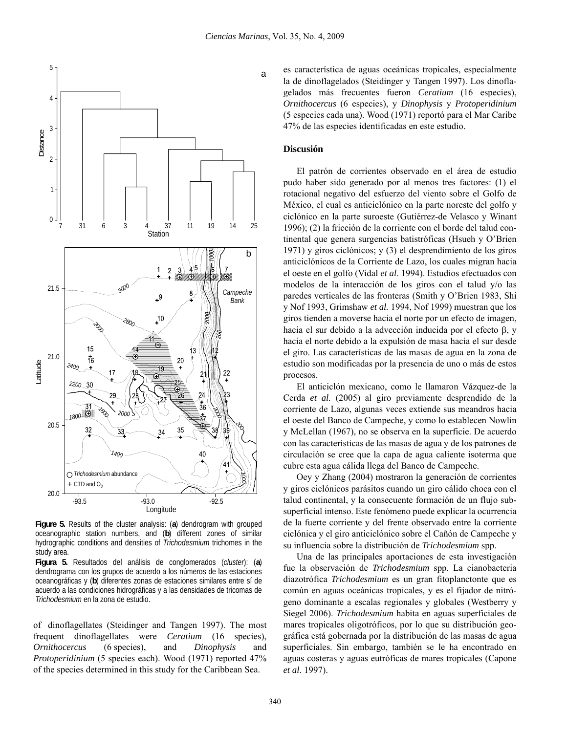

**Figure 5.** Results of the cluster analysis: (**a**) dendrogram with grouped oceanographic station numbers, and (**b**) different zones of similar hydrographic conditions and densities of *Trichodesmium* trichomes in the study area.

**Figura 5.** Resultados del análisis de conglomerados (*cluster*): (**a**) dendrograma con los grupos de acuerdo a los números de las estaciones oceanográficas y (**b**) diferentes zonas de estaciones similares entre sí de acuerdo a las condiciones hidrográficas y a las densidades de tricomas de *Trichodesmium* en la zona de estudio.

of dinoflagellates (Steidinger and Tangen 1997). The most frequent dinoflagellates were *Ceratium* (16 species), *Ornithocercus* (6 species), and *Dinophysis* and *Protoperidinium* (5 species each). Wood (1971) reported 47% of the species determined in this study for the Caribbean Sea.

es característica de aguas oceánicas tropicales, especialmente la de dinoflagelados (Steidinger y Tangen 1997). Los dinoflagelados más frecuentes fueron *Ceratium* (16 especies), *Ornithocercus* (6 especies), y *Dinophysis* y *Protoperidinium* (5 especies cada una). Wood (1971) reportó para el Mar Caribe 47% de las especies identificadas en este estudio.

# **Discusión**

El patrón de corrientes observado en el área de estudio pudo haber sido generado por al menos tres factores: (1) el rotacional negativo del esfuerzo del viento sobre el Golfo de México, el cual es anticiclónico en la parte noreste del golfo y ciclónico en la parte suroeste (Gutiérrez-de Velasco y Winant 1996); (2) la fricción de la corriente con el borde del talud continental que genera surgencias batistróficas (Hsueh y O'Brien 1971) y giros ciclónicos; y (3) el desprendimiento de los giros anticiclónicos de la Corriente de Lazo, los cuales migran hacia el oeste en el golfo (Vidal *et al*. 1994). Estudios efectuados con modelos de la interacción de los giros con el talud y/o las paredes verticales de las fronteras (Smith y O'Brien 1983, Shi y Nof 1993, Grimshaw *et al.* 1994, Nof 1999) muestran que los giros tienden a moverse hacia el norte por un efecto de imagen, hacia el sur debido a la advección inducida por el efecto β, y hacia el norte debido a la expulsión de masa hacia el sur desde el giro. Las características de las masas de agua en la zona de estudio son modificadas por la presencia de uno o más de estos procesos.

El anticiclón mexicano, como le llamaron Vázquez-de la Cerda *et al.* (2005) al giro previamente desprendido de la corriente de Lazo, algunas veces extiende sus meandros hacia el oeste del Banco de Campeche, y como lo establecen Nowlin y McLellan (1967), no se observa en la superficie. De acuerdo con las características de las masas de agua y de los patrones de circulación se cree que la capa de agua caliente isoterma que cubre esta agua cálida llega del Banco de Campeche.

Oey y Zhang (2004) mostraron la generación de corrientes y giros ciclónicos parásitos cuando un giro cálido choca con el talud continental, y la consecuente formación de un flujo subsuperficial intenso. Este fenómeno puede explicar la ocurrencia de la fuerte corriente y del frente observado entre la corriente ciclónica y el giro anticiclónico sobre el Cañón de Campeche y su influencia sobre la distribución de *Trichodesmium* spp.

Una de las principales aportaciones de esta investigación fue la observación de *Trichodesmium* spp. La cianobacteria diazotrófica *Trichodesmium* es un gran fitoplanctonte que es común en aguas oceánicas tropicales, y es el fijador de nitrógeno dominante a escalas regionales y globales (Westberry y Siegel 2006). *Trichodesmium* habita en aguas superficiales de mares tropicales oligotróficos, por lo que su distribución geográfica está gobernada por la distribución de las masas de agua superficiales. Sin embargo, también se le ha encontrado en aguas costeras y aguas eutróficas de mares tropicales (Capone *et al*. 1997).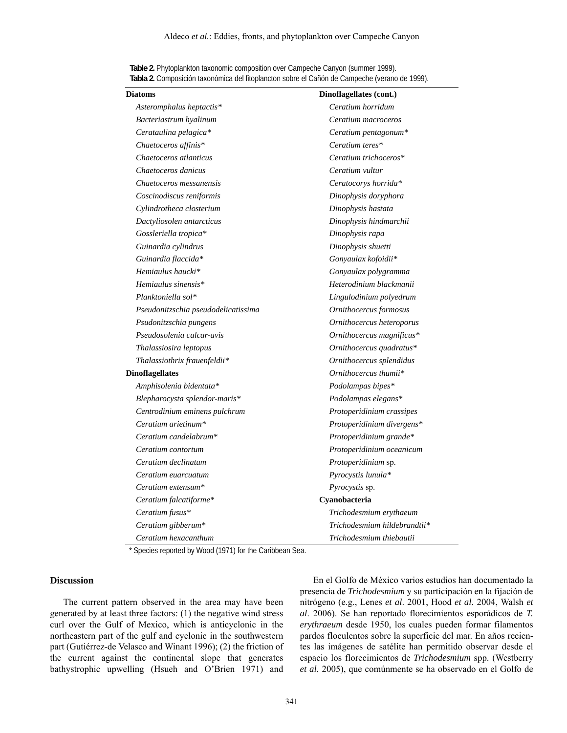| Diatoms                             | Dinoflagellates (cont.)      |  |  |
|-------------------------------------|------------------------------|--|--|
| Asteromphalus heptactis*            | Ceratium horridum            |  |  |
| Bacteriastrum hyalinum              | Ceratium macroceros          |  |  |
| Cerataulina pelagica*               | Ceratium pentagonum*         |  |  |
| Chaetoceros affinis*                | Ceratium teres*              |  |  |
| Chaetoceros atlanticus              | Ceratium trichoceros*        |  |  |
| Chaetoceros danicus                 | Ceratium vultur              |  |  |
| Chaetoceros messanensis             | Ceratocorys horrida*         |  |  |
| Coscinodiscus reniformis            | Dinophysis doryphora         |  |  |
| Cylindrotheca closterium            | Dinophysis hastata           |  |  |
| Dactyliosolen antarcticus           | Dinophysis hindmarchii       |  |  |
| Gossleriella tropica*               | Dinophysis rapa              |  |  |
| Guinardia cylindrus                 | Dinophysis shuetti           |  |  |
| Guinardia flaccida*                 | Gonyaulax kofoidii*          |  |  |
| Hemiaulus haucki*                   | Gonyaulax polygramma         |  |  |
| Hemiaulus sinensis*                 | Heterodinium blackmanii      |  |  |
| Planktoniella sol*                  | Lingulodinium polyedrum      |  |  |
| Pseudonitzschia pseudodelicatissima | Ornithocercus formosus       |  |  |
| Psudonitzschia pungens              | Ornithocercus heteroporus    |  |  |
| Pseudosolenia calcar-avis           | Ornithocercus magnificus*    |  |  |
| Thalassiosira leptopus              | Ornithocercus quadratus*     |  |  |
| Thalassiothrix frauenfeldii*        | Ornithocercus splendidus     |  |  |
| <b>Dinoflagellates</b>              | Ornithocercus thumii*        |  |  |
| Amphisolenia bidentata*             | Podolampas bipes*            |  |  |
| Blepharocysta splendor-maris*       | Podolampas elegans*          |  |  |
| Centrodinium eminens pulchrum       | Protoperidinium crassipes    |  |  |
| Ceratium arietinum*                 | Protoperidinium divergens*   |  |  |
| Ceratium candelabrum*               | Protoperidinium grande*      |  |  |
| Ceratium contortum                  | Protoperidinium oceanicum    |  |  |
| Ceratium declinatum                 | Protoperidinium sp.          |  |  |
| Ceratium euarcuatum                 | Pyrocystis lunula*           |  |  |
| Ceratium extensum $*$               | Pyrocystis sp.               |  |  |
| Ceratium falcatiforme*              | Cyanobacteria                |  |  |
| Ceratium fusus*                     | Trichodesmium erythaeum      |  |  |
| Ceratium gibberum*                  | Trichodesmium hildebrandtii* |  |  |
| Ceratium hexacanthum                | Trichodesmium thiebautii     |  |  |

**Table 2.** Phytoplankton taxonomic composition over Campeche Canyon (summer 1999). **Tabla 2.** Composición taxonómica del fitoplancton sobre el Cañón de Campeche (verano de 1999).

\* Species reported by Wood (1971) for the Caribbean Sea.

## **Discussion**

The current pattern observed in the area may have been generated by at least three factors: (1) the negative wind stress curl over the Gulf of Mexico, which is anticyclonic in the northeastern part of the gulf and cyclonic in the southwestern part (Gutiérrez-de Velasco and Winant 1996); (2) the friction of the current against the continental slope that generates bathystrophic upwelling (Hsueh and O'Brien 1971) and

En el Golfo de México varios estudios han documentado la presencia de *Trichodesmium* y su participación en la fijación de nitrógeno (e.g., Lenes *et al*. 2001, Hood *et al.* 2004, Walsh *et al*. 2006). Se han reportado florecimientos esporádicos de *T. erythraeum* desde 1950, los cuales pueden formar filamentos pardos floculentos sobre la superficie del mar. En años recientes las imágenes de satélite han permitido observar desde el espacio los florecimientos de *Trichodesmium* spp. (Westberry *et al.* 2005), que comúnmente se ha observado en el Golfo de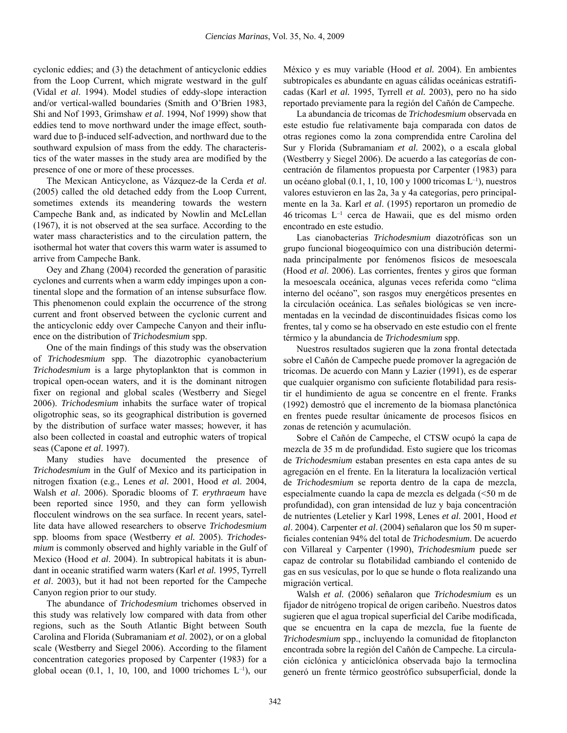cyclonic eddies; and (3) the detachment of anticyclonic eddies from the Loop Current, which migrate westward in the gulf (Vidal *et al*. 1994). Model studies of eddy-slope interaction and/or vertical-walled boundaries (Smith and O'Brien 1983, Shi and Nof 1993, Grimshaw *et al*. 1994, Nof 1999) show that eddies tend to move northward under the image effect, southward due to β-induced self-advection, and northward due to the southward expulsion of mass from the eddy. The characteristics of the water masses in the study area are modified by the presence of one or more of these processes.

The Mexican Anticyclone, as Vázquez-de la Cerda *et al*. (2005) called the old detached eddy from the Loop Current, sometimes extends its meandering towards the western Campeche Bank and, as indicated by Nowlin and McLellan (1967), it is not observed at the sea surface. According to the water mass characteristics and to the circulation pattern, the isothermal hot water that covers this warm water is assumed to arrive from Campeche Bank.

Oey and Zhang (2004) recorded the generation of parasitic cyclones and currents when a warm eddy impinges upon a continental slope and the formation of an intense subsurface flow. This phenomenon could explain the occurrence of the strong current and front observed between the cyclonic current and the anticyclonic eddy over Campeche Canyon and their influence on the distribution of *Trichodesmium* spp.

One of the main findings of this study was the observation of *Trichodesmium* spp. The diazotrophic cyanobacterium *Trichodesmium* is a large phytoplankton that is common in tropical open-ocean waters, and it is the dominant nitrogen fixer on regional and global scales (Westberry and Siegel 2006). *Trichodesmium* inhabits the surface water of tropical oligotrophic seas, so its geographical distribution is governed by the distribution of surface water masses; however, it has also been collected in coastal and eutrophic waters of tropical seas (Capone *et al*. 1997).

Many studies have documented the presence of *Trichodesmium* in the Gulf of Mexico and its participation in nitrogen fixation (e.g., Lenes *et al.* 2001, Hood *et a*l. 2004, Walsh *et al*. 2006). Sporadic blooms of *T. erythraeum* have been reported since 1950, and they can form yellowish flocculent windrows on the sea surface. In recent years, satellite data have allowed researchers to observe *Trichodesmium* spp. blooms from space (Westberry *et al.* 2005). *Trichodesmium* is commonly observed and highly variable in the Gulf of Mexico (Hood *et al*. 2004). In subtropical habitats it is abundant in oceanic stratified warm waters (Karl *et al.* 1995, Tyrrell *et al*. 2003), but it had not been reported for the Campeche Canyon region prior to our study.

The abundance of *Trichodesmium* trichomes observed in this study was relatively low compared with data from other regions, such as the South Atlantic Bight between South Carolina and Florida (Subramaniam *et al*. 2002), or on a global scale (Westberry and Siegel 2006). According to the filament concentration categories proposed by Carpenter (1983) for a global ocean  $(0.1, 1, 10, 100,$  and  $1000$  trichomes  $L^{-1}$ ), our

México y es muy variable (Hood *et al.* 2004). En ambientes subtropicales es abundante en aguas cálidas oceánicas estratificadas (Karl *et al.* 1995, Tyrrell *et al.* 2003), pero no ha sido reportado previamente para la región del Cañón de Campeche.

La abundancia de tricomas de *Trichodesmium* observada en este estudio fue relativamente baja comparada con datos de otras regiones como la zona comprendida entre Carolina del Sur y Florida (Subramaniam *et al.* 2002), o a escala global (Westberry y Siegel 2006). De acuerdo a las categorías de concentración de filamentos propuesta por Carpenter (1983) para un océano global (0.1, 1, 10, 100 y 1000 tricomas L–1), nuestros valores estuvieron en las 2a, 3a y 4a categorías, pero principalmente en la 3a. Karl *et al*. (1995) reportaron un promedio de 46 tricomas L–1 cerca de Hawaii, que es del mismo orden encontrado en este estudio.

Las cianobacterias *Trichodesmium* diazotróficas son un grupo funcional biogeoquímico con una distribución determinada principalmente por fenómenos físicos de mesoescala (Hood *et al*. 2006). Las corrientes, frentes y giros que forman la mesoescala oceánica, algunas veces referida como "clima interno del océano", son rasgos muy energéticos presentes en la circulación oceánica. Las señales biológicas se ven incrementadas en la vecindad de discontinuidades físicas como los frentes, tal y como se ha observado en este estudio con el frente térmico y la abundancia de *Trichodesmium* spp.

Nuestros resultados sugieren que la zona frontal detectada sobre el Cañón de Campeche puede promover la agregación de tricomas. De acuerdo con Mann y Lazier (1991), es de esperar que cualquier organismo con suficiente flotabilidad para resistir el hundimiento de agua se concentre en el frente. Franks (1992) demostró que el incremento de la biomasa planctónica en frentes puede resultar únicamente de procesos físicos en zonas de retención y acumulación.

Sobre el Cañón de Campeche, el CTSW ocupó la capa de mezcla de 35 m de profundidad. Esto sugiere que los tricomas de *Trichodesmium* estaban presentes en esta capa antes de su agregación en el frente. En la literatura la localización vertical de *Trichodesmium* se reporta dentro de la capa de mezcla, especialmente cuando la capa de mezcla es delgada (<50 m de profundidad), con gran intensidad de luz y baja concentración de nutrientes (Letelier y Karl 1998, Lenes *et al*. 2001, Hood *et al*. 2004). Carpenter *et al*. (2004) señalaron que los 50 m superficiales contenían 94% del total de *Trichodesmium.* De acuerdo con Villareal y Carpenter (1990), *Trichodesmium* puede ser capaz de controlar su flotabilidad cambiando el contenido de gas en sus vesículas, por lo que se hunde o flota realizando una migración vertical.

Walsh *et al.* (2006) señalaron que *Trichodesmium* es un fijador de nitrógeno tropical de origen caribeño. Nuestros datos sugieren que el agua tropical superficial del Caribe modificada, que se encuentra en la capa de mezcla, fue la fuente de *Trichodesmium* spp., incluyendo la comunidad de fitoplancton encontrada sobre la región del Cañón de Campeche. La circulación ciclónica y anticiclónica observada bajo la termoclina generó un frente térmico geostrófico subsuperficial, donde la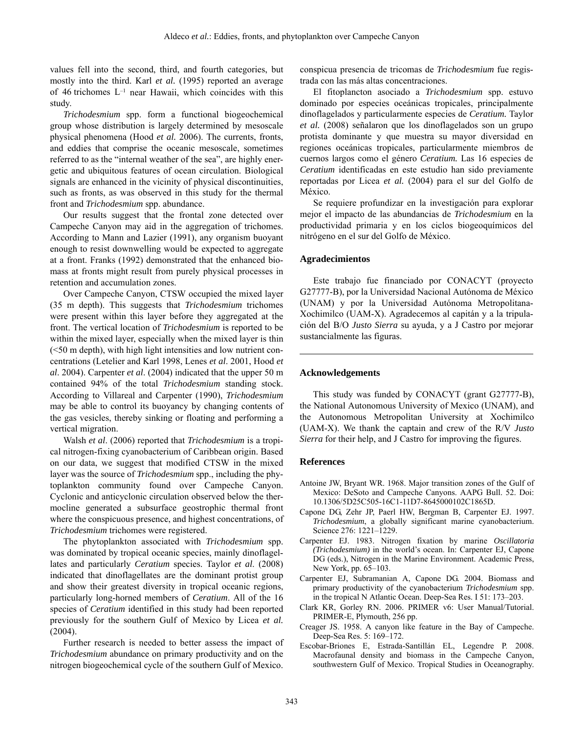values fell into the second, third, and fourth categories, but mostly into the third. Karl *et al.* (1995) reported an average of 46 trichomes  $L^{-1}$  near Hawaii, which coincides with this study.

*Trichodesmium* spp. form a functional biogeochemical group whose distribution is largely determined by mesoscale physical phenomena (Hood *et al.* 2006). The currents, fronts, and eddies that comprise the oceanic mesoscale, sometimes referred to as the "internal weather of the sea", are highly energetic and ubiquitous features of ocean circulation. Biological signals are enhanced in the vicinity of physical discontinuities, such as fronts, as was observed in this study for the thermal front and *Trichodesmium* spp. abundance.

Our results suggest that the frontal zone detected over Campeche Canyon may aid in the aggregation of trichomes. According to Mann and Lazier (1991), any organism buoyant enough to resist downwelling would be expected to aggregate at a front. Franks (1992) demonstrated that the enhanced biomass at fronts might result from purely physical processes in retention and accumulation zones.

Over Campeche Canyon, CTSW occupied the mixed layer (35 m depth). This suggests that *Trichodesmium* trichomes were present within this layer before they aggregated at the front. The vertical location of *Trichodesmium* is reported to be within the mixed layer, especially when the mixed layer is thin (<50 m depth), with high light intensities and low nutrient concentrations (Letelier and Karl 1998, Lenes *et al*. 2001, Hood *et al*. 2004). Carpenter *et al*. (2004) indicated that the upper 50 m contained 94% of the total *Trichodesmium* standing stock. According to Villareal and Carpenter (1990), *Trichodesmium* may be able to control its buoyancy by changing contents of the gas vesicles, thereby sinking or floating and performing a vertical migration.

Walsh *et al*. (2006) reported that *Trichodesmium* is a tropical nitrogen-fixing cyanobacterium of Caribbean origin. Based on our data, we suggest that modified CTSW in the mixed layer was the source of *Trichodesmium* spp., including the phytoplankton community found over Campeche Canyon. Cyclonic and anticyclonic circulation observed below the thermocline generated a subsurface geostrophic thermal front where the conspicuous presence, and highest concentrations, of *Trichodesmium* trichomes were registered.

The phytoplankton associated with *Trichodesmium* spp. was dominated by tropical oceanic species, mainly dinoflagellates and particularly *Ceratium* species. Taylor *et al*. (2008) indicated that dinoflagellates are the dominant protist group and show their greatest diversity in tropical oceanic regions, particularly long-horned members of *Ceratium*. All of the 16 species of *Ceratium* identified in this study had been reported previously for the southern Gulf of Mexico by Licea *et al.* (2004).

Further research is needed to better assess the impact of *Trichodesmium* abundance on primary productivity and on the nitrogen biogeochemical cycle of the southern Gulf of Mexico.

conspicua presencia de tricomas de *Trichodesmium* fue registrada con las más altas concentraciones.

El fitoplancton asociado a *Trichodesmium* spp. estuvo dominado por especies oceánicas tropicales, principalmente dinoflagelados y particularmente especies de *Ceratium.* Taylor *et al.* (2008) señalaron que los dinoflagelados son un grupo protista dominante y que muestra su mayor diversidad en regiones oceánicas tropicales, particularmente miembros de cuernos largos como el género *Ceratium.* Las 16 especies de *Ceratium* identificadas en este estudio han sido previamente reportadas por Licea *et al.* (2004) para el sur del Golfo de México.

Se requiere profundizar en la investigación para explorar mejor el impacto de las abundancias de *Trichodesmium* en la productividad primaria y en los ciclos biogeoquímicos del nitrógeno en el sur del Golfo de México.

### **Agradecimientos**

Este trabajo fue financiado por CONACYT (proyecto G27777-B), por la Universidad Nacional Autónoma de México (UNAM) y por la Universidad Autónoma Metropolitana-Xochimilco (UAM-X). Agradecemos al capitán y a la tripulación del B/O *Justo Sierra* su ayuda, y a J Castro por mejorar sustancialmente las figuras.

#### **Acknowledgements**

This study was funded by CONACYT (grant G27777-B), the National Autonomous University of Mexico (UNAM), and the Autonomous Metropolitan University at Xochimilco (UAM-X). We thank the captain and crew of the R/V *Justo Sierra* for their help, and J Castro for improving the figures.

### **References**

- Antoine JW, Bryant WR. 1968. Major transition zones of the Gulf of Mexico: DeSoto and Campeche Canyons. AAPG Bull. 52. Doi: 10.1306/5D25C505-16C1-11D7-8645000102C1865D.
- Capone DG, Zehr JP, Paerl HW, Bergman B, Carpenter EJ. 1997. *Trichodesmium*, a globally significant marine cyanobacterium. Science 276: 1221–1229.
- Carpenter EJ. 1983. Nitrogen fixation by marine *Oscillatoria (Trichodesmium)* in the world's ocean. In: Carpenter EJ, Capone DG (eds.), Nitrogen in the Marine Environment. Academic Press, New York, pp. 65–103.
- Carpenter EJ, Subramanian A, Capone DG. 2004. Biomass and primary productivity of the cyanobacterium *Trichodesmium* spp. in the tropical N Atlantic Ocean. Deep-Sea Res. I 51: 173–203.
- Clark KR, Gorley RN. 2006. PRIMER v6: User Manual/Tutorial. PRIMER-E, Plymouth, 256 pp.
- Creager JS. 1958. A canyon like feature in the Bay of Campeche. Deep-Sea Res. 5: 169–172.
- Escobar-Briones E, Estrada-Santillán EL, Legendre P. 2008. Macrofaunal density and biomass in the Campeche Canyon, southwestern Gulf of Mexico. Tropical Studies in Oceanography.